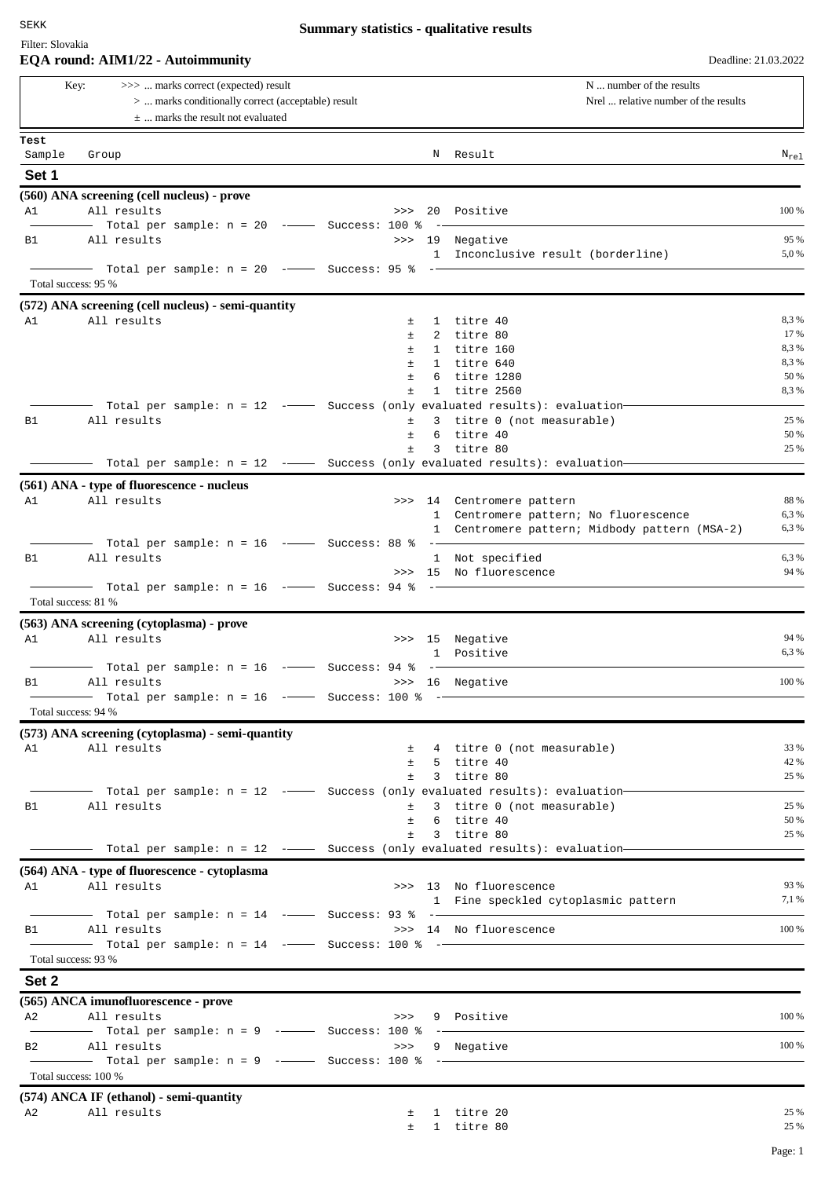Filter: Slovakia

|                                                                                                                                            |                                            |                                                        |  |                                      | N  number of the results |                                                                                                        |              |
|--------------------------------------------------------------------------------------------------------------------------------------------|--------------------------------------------|--------------------------------------------------------|--|--------------------------------------|--------------------------|--------------------------------------------------------------------------------------------------------|--------------|
| Key:<br>>>>  marks correct (expected) result<br>>  marks conditionally correct (acceptable) result<br>$\pm$ marks the result not evaluated |                                            |                                                        |  | Nrel  relative number of the results |                          |                                                                                                        |              |
| Test                                                                                                                                       |                                            |                                                        |  |                                      |                          |                                                                                                        |              |
| Sample                                                                                                                                     | Group                                      |                                                        |  |                                      |                          | N Result                                                                                               | $N_{re1}$    |
| Set 1                                                                                                                                      |                                            |                                                        |  |                                      |                          |                                                                                                        |              |
|                                                                                                                                            | (560) ANA screening (cell nucleus) - prove |                                                        |  |                                      |                          |                                                                                                        |              |
| A1                                                                                                                                         | All results                                |                                                        |  | >>                                   |                          | 20 Positive                                                                                            | 100 %        |
|                                                                                                                                            |                                            | Total per sample: $n = 20$ -- Success: 100 %           |  |                                      |                          |                                                                                                        |              |
| <b>B1</b>                                                                                                                                  | All results                                |                                                        |  |                                      |                          | >>> 19 Negative                                                                                        | 95 %         |
|                                                                                                                                            |                                            | Total per sample: $n = 20$ ---- Success: 95 % --       |  |                                      |                          | 1 Inconclusive result (borderline)                                                                     | 5,0 %        |
|                                                                                                                                            | Total success: 95 %                        |                                                        |  |                                      |                          |                                                                                                        |              |
|                                                                                                                                            |                                            | (572) ANA screening (cell nucleus) - semi-quantity     |  |                                      |                          |                                                                                                        |              |
| A1                                                                                                                                         | All results                                |                                                        |  | $\pm$                                |                          | 1 titre 40                                                                                             | 8,3%         |
|                                                                                                                                            |                                            |                                                        |  | $\pm$                                |                          | 2 titre 80                                                                                             | 17 %         |
|                                                                                                                                            |                                            |                                                        |  | $\pm$<br>$\pm$                       |                          | 1 titre 160<br>1 titre 640                                                                             | 8,3%<br>8,3% |
|                                                                                                                                            |                                            |                                                        |  | Ŧ                                    |                          | 6 titre 1280                                                                                           | 50 %         |
|                                                                                                                                            |                                            |                                                        |  | $\pm$                                |                          | 1 titre 2560                                                                                           | 8,3%         |
|                                                                                                                                            |                                            |                                                        |  |                                      |                          | Total per sample: $n = 12$ - Success (only evaluated results): evaluation-                             |              |
| B1                                                                                                                                         | All results                                |                                                        |  | ±                                    |                          | 3 titre 0 (not measurable)                                                                             | 25 %<br>50 % |
|                                                                                                                                            |                                            |                                                        |  | $\pm$<br>$\pm$                       |                          | 6 titre 40<br>3 titre 80                                                                               | 25 %         |
|                                                                                                                                            |                                            |                                                        |  |                                      |                          | Total per sample: $n = 12$ - Success (only evaluated results): evaluation-                             |              |
|                                                                                                                                            | (561) ANA - type of fluorescence - nucleus |                                                        |  |                                      |                          |                                                                                                        |              |
| A1                                                                                                                                         | All results                                |                                                        |  |                                      |                          | >>> 14 Centromere pattern                                                                              | 88 %         |
|                                                                                                                                            |                                            |                                                        |  |                                      |                          | 1 Centromere pattern; No fluorescence                                                                  | 6,3%         |
|                                                                                                                                            |                                            |                                                        |  |                                      |                          | 1 Centromere pattern; Midbody pattern (MSA-2)                                                          | 6,3 %        |
| В1                                                                                                                                         | All results                                | Total per sample: $n = 16$ -- Success: 88 % --         |  |                                      |                          | 1 Not specified                                                                                        | 6,3%         |
|                                                                                                                                            |                                            |                                                        |  |                                      |                          | >>> 15 No fluorescence                                                                                 | 94 %         |
|                                                                                                                                            |                                            | Total per sample: $n = 16$ -- Success: 94 % -          |  |                                      |                          |                                                                                                        |              |
|                                                                                                                                            | Total success: 81 %                        |                                                        |  |                                      |                          |                                                                                                        |              |
|                                                                                                                                            | (563) ANA screening (cytoplasma) - prove   |                                                        |  |                                      |                          |                                                                                                        |              |
| A1                                                                                                                                         | All results                                |                                                        |  |                                      |                          | >>> 15 Negative                                                                                        | 94 %         |
|                                                                                                                                            |                                            | $-$ Total per sample: n = 16 $\,$ - $\,$ Success: 94 % |  |                                      | $- -$                    | 1 Positive                                                                                             | 6,3%         |
| B1                                                                                                                                         | All results                                |                                                        |  |                                      |                          | >>> 16 Negative                                                                                        | 100 %        |
|                                                                                                                                            |                                            |                                                        |  |                                      |                          |                                                                                                        |              |
|                                                                                                                                            | Total success: 94 %                        |                                                        |  |                                      |                          |                                                                                                        |              |
|                                                                                                                                            |                                            | (573) ANA screening (cytoplasma) - semi-quantity       |  |                                      |                          |                                                                                                        |              |
| A1                                                                                                                                         | All results                                |                                                        |  |                                      |                          | ± 4 titre 0 (not measurable)                                                                           | 33 %<br>42 % |
|                                                                                                                                            |                                            |                                                        |  |                                      |                          | $±$ 5 titre 40<br>$±$ 3 titre 80                                                                       | 25 %         |
|                                                                                                                                            |                                            |                                                        |  |                                      |                          | - Total per sample: n = 12 ---- Success (only evaluated results): evaluation-                          |              |
| B1                                                                                                                                         | All results                                |                                                        |  | $\pm$                                |                          | 3 titre 0 (not measurable)                                                                             | 25 %         |
|                                                                                                                                            |                                            |                                                        |  | $\pm$ .                              |                          | 6 titre 40                                                                                             | 50 %         |
|                                                                                                                                            | $\overline{\phantom{a}}$                   |                                                        |  | $\pm$                                |                          | 3 titre 80<br>Total per sample: $n = 12$ - $\rightarrow$ Success (only evaluated results): evaluation- | 25 %         |
|                                                                                                                                            |                                            |                                                        |  |                                      |                          |                                                                                                        |              |
| A1                                                                                                                                         | All results                                | (564) ANA - type of fluorescence - cytoplasma          |  |                                      |                          | >>> 13 No fluorescence                                                                                 | 93 %         |
|                                                                                                                                            |                                            |                                                        |  |                                      |                          | 1 Fine speckled cytoplasmic pattern                                                                    | 7,1 %        |
|                                                                                                                                            |                                            |                                                        |  |                                      |                          |                                                                                                        |              |
| B1 -                                                                                                                                       | All results                                |                                                        |  |                                      |                          | >>> 14 No fluorescence                                                                                 | 100 %        |
|                                                                                                                                            | Total success: 93 %                        |                                                        |  |                                      |                          |                                                                                                        |              |
|                                                                                                                                            |                                            |                                                        |  |                                      |                          |                                                                                                        |              |
| Set 2                                                                                                                                      |                                            |                                                        |  |                                      |                          |                                                                                                        |              |
|                                                                                                                                            | (565) ANCA imunofluorescence - prove       |                                                        |  |                                      |                          |                                                                                                        |              |
| A2                                                                                                                                         | All results                                | -- Total per sample: n = 9 ------ Success: 100 % --    |  | >>                                   |                          | 9 Positive                                                                                             | 100 %        |
| B2 -                                                                                                                                       | All results                                |                                                        |  | >>>                                  |                          | 9 Negative                                                                                             | 100 %        |
|                                                                                                                                            |                                            | Total per sample: $n = 9$ - Success: 100 % -           |  |                                      |                          |                                                                                                        |              |
|                                                                                                                                            | Total success: 100 %                       |                                                        |  |                                      |                          |                                                                                                        |              |
|                                                                                                                                            | (574) ANCA IF (ethanol) - semi-quantity    |                                                        |  |                                      |                          |                                                                                                        |              |
| A2                                                                                                                                         | All results                                |                                                        |  | 土                                    |                          | 1 titre 20                                                                                             | 25 %         |
|                                                                                                                                            |                                            |                                                        |  |                                      |                          | $\pm$ 1 titre 80                                                                                       | 25 %         |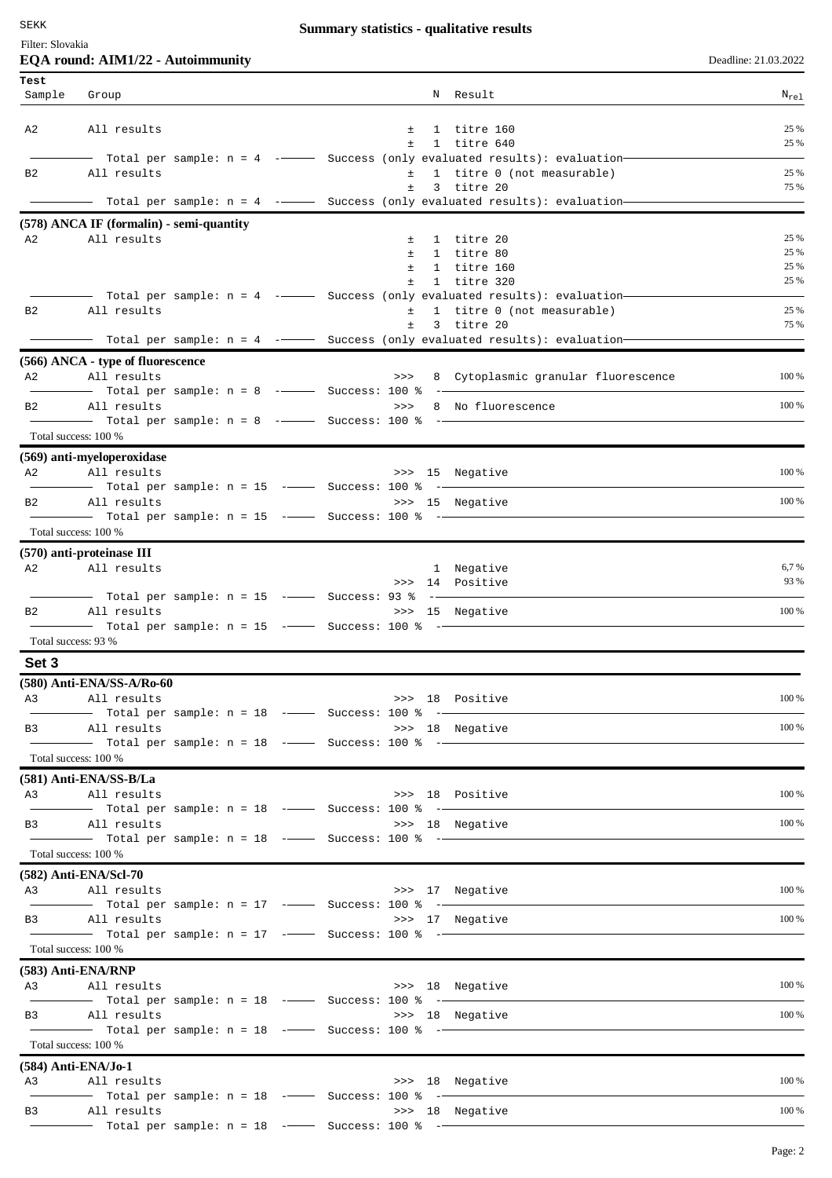## **Summary statistics - qualitative results**

## Filter: Slovakia

| Deadline: 21.03.2022 |  |  |
|----------------------|--|--|
|                      |  |  |

|                | EQA round: AIM1/22 - Autoimmunity                                                                                                     |             |                                     | Deadline: 21.03.2022 |
|----------------|---------------------------------------------------------------------------------------------------------------------------------------|-------------|-------------------------------------|----------------------|
| Test<br>Sample | Group                                                                                                                                 |             | N Result                            | $N_{\text{rel}}$     |
|                |                                                                                                                                       |             |                                     |                      |
| A2             | All results                                                                                                                           | 土<br>$\pm$  | 1 titre 160<br>1 titre 640          | 25 %<br>25 %         |
|                | —  Total per sample: n = 4  -———   Success (only evaluated results): evaluation—                                                      |             |                                     |                      |
| B <sub>2</sub> | All results                                                                                                                           | $\pm$       | 1 titre 0 (not measurable)          | 25 %                 |
|                | - Total per sample: n = 4 ---- Success (only evaluated results): evaluation-                                                          | $\pm$       | 3 titre 20                          | 75 %                 |
|                | (578) ANCA IF (formalin) - semi-quantity                                                                                              |             |                                     |                      |
| A2             | All results                                                                                                                           | $\pm$       | 1 titre 20                          | 25 %                 |
|                |                                                                                                                                       | $\pm$       | 1 titre 80                          | 25 %                 |
|                |                                                                                                                                       | $\pm$<br>±. | 1 titre 160<br>1 titre 320          | 25 %<br>25 %         |
|                | — Total per sample: n = 4 ---------- Success (only evaluated results): evaluation---                                                  |             |                                     |                      |
| B <sub>2</sub> | All results                                                                                                                           | $\pm$       | 1 titre 0 (not measurable)          | 25 %                 |
|                | —— Total per sample: n = 4 -------- Success (only evaluated results): evaluation—                                                     | $\pm$       | 3 titre 20                          | 75 %                 |
|                |                                                                                                                                       |             |                                     |                      |
| A2             | (566) ANCA - type of fluorescence<br>All results                                                                                      | >>>         | 8 Cytoplasmic granular fluorescence | 100 %                |
|                | Total per sample: $n = 8$ - Success: 100 % -                                                                                          |             |                                     |                      |
| B2             | All results                                                                                                                           | >>          | 8 No fluorescence                   | 100 %                |
|                | -- Total per sample: $n = 8$ ---- Success: 100 % ---                                                                                  |             |                                     |                      |
|                | Total success: 100 %                                                                                                                  |             |                                     |                      |
| A2             | (569) anti-myeloperoxidase<br>All results                                                                                             |             | >>> 15 Negative                     | 100 %                |
|                | - Total per sample: $n = 15$ -- Success: 100 % -                                                                                      |             |                                     |                      |
| B <sub>2</sub> | All results                                                                                                                           |             | >>> 15 Negative                     | 100 %                |
|                | Total per sample: n = 15 - Success: 100 % -                                                                                           |             |                                     |                      |
|                | Total success: 100 %                                                                                                                  |             |                                     |                      |
| A2             | (570) anti-proteinase III<br>All results                                                                                              |             | 1 Negative                          | 6,7 %                |
|                |                                                                                                                                       |             | >>> 14 Positive                     | 93 %                 |
|                | ——  Total per sample: n = 15  -——   Success: 93 %  -—                                                                                 |             |                                     |                      |
| B <sub>2</sub> | All results                                                                                                                           |             | >>> 15 Negative                     | 100 %                |
|                | Total success: 93 %                                                                                                                   |             |                                     |                      |
| Set 3          |                                                                                                                                       |             |                                     |                      |
|                | (580) Anti-ENA/SS-A/Ro-60                                                                                                             |             |                                     |                      |
| A3             | All results                                                                                                                           |             | >>> 18 Positive                     | 100 %                |
|                | $\overline{\phantom{0}}$ Total per sample: n = 18 $\,$ - $\overline{\phantom{0}}$ Success: 100 $\,$ 8 $\,$ - $\overline{\phantom{0}}$ |             |                                     |                      |
| B3             | All results<br>Total per sample: n = 18 -- Success: 100 % -                                                                           |             | >>> 18 Negative                     | 100 %                |
|                | Total success: 100 %                                                                                                                  |             |                                     |                      |
|                | (581) Anti-ENA/SS-B/La                                                                                                                |             |                                     |                      |
| A3             | All results                                                                                                                           |             | >>> 18 Positive                     | 100 %                |
|                |                                                                                                                                       |             |                                     |                      |
|                | B3 All results                                                                                                                        |             | >>> 18 Negative                     | 100 %                |
|                | Total success: 100 %                                                                                                                  |             |                                     |                      |
|                | (582) Anti-ENA/Scl-70                                                                                                                 |             |                                     |                      |
|                | A3 All results                                                                                                                        |             | >>> 17 Negative                     | 100 %                |
|                | Total per sample: $n = 17$ --- Success: 100 % --                                                                                      |             |                                     |                      |
|                | B3 All results<br>$\frac{1}{1}$ Total per sample: n = 17 - Success: 100 % -                                                           |             | >>> 17 Negative                     | 100 %                |
|                | Total success: 100 %                                                                                                                  |             |                                     |                      |
|                | (583) Anti-ENA/RNP                                                                                                                    |             |                                     |                      |
|                | A3 All results                                                                                                                        |             | >>> 18 Negative                     | 100 %                |
|                |                                                                                                                                       |             |                                     |                      |
| <b>B3</b>      | All results<br>Total per sample: n = 18 -- Success: 100 % --                                                                          |             | >>> 18 Negative                     | 100 %                |
|                | Total success: 100 %                                                                                                                  |             |                                     |                      |
|                | $(584)$ Anti-ENA/Jo-1                                                                                                                 |             |                                     |                      |
| A3             | All results                                                                                                                           |             | >>> 18 Negative                     | 100 %                |
|                | - Total per sample: $n = 18$ -- Success: 100 % -                                                                                      |             |                                     |                      |
| B3             | All results                                                                                                                           |             | >>> 18 Negative                     | 100 %                |
|                |                                                                                                                                       |             |                                     |                      |